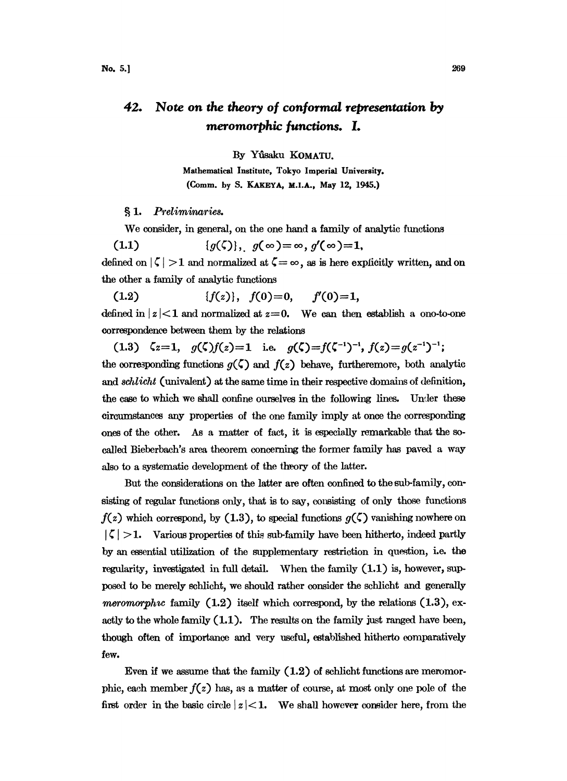## 42. Note on the theory of conformal representation by meromorphic functions. I.

By Yfisaku KOMATU.

Mathematical Institute, Tokyo Imperial University. (Comm. by S. KAKEYA, M.I.A., May 12, 1945.)

§ 1. Preliminaries.

We consider, in general, on the one hand a family of analytic functions

 $\{g(\zeta)\},\quad g(\infty) = \infty,\ g'(\infty) = 1,$  $(1.1)$ defined on  $|\zeta| > 1$  and normalized at  $\zeta = \infty$ , as is here explicitly written, and on<br>the other a family of analytic functions<br>(1.2)  $\{f(z)\}, \quad f(0) = 0, \qquad f'(0) = 1,$ the other a family of analytic functions

(1.2)  $\{f(z)\},\ f(0)=0,\ f'(0)=1,$ 

defined in  $|z|$ <1 and normalized at  $z=0$ . We can then establish a ono-to-one errespondenee between them by the relations

(1.3)  $\zeta_z=1$ ,  $g(\zeta)f(z)=1$  i.e.  $g(\zeta)=f(\zeta^{-1})^{-1}$ ,  $f(z)=g(z^{-1})^{-1}$ ; the corresponding functions  $g(\zeta)$  and  $f(z)$  behave, furtheremore, both analytic and *schlicht* (univalent) at the same time in their respective domains of definition, the case to which we shall confine ourselves in the following lines. Under these circumstances any properties of the one family imply at once the corresponding ones of the other. As a matter of fact, it is especially remarkable that the socalled Bieberbach's area theorem concerning the former family has paved a way also to a systematic development of the theory of the latter.

But the considerations on the latter are often confined to the sub-family, consisting of regular functions only, that is to say, consisting of only those functions  $f(z)$  which correspond, by (1.3), to special functions  $g(\zeta)$  vanishing nowhere on  $|\zeta| > 1$ . Various properties of this sub-family have been hitherto, indeed partly by an essential utilization of the supplementary restriction in question, i.e. the regularity, investigated in full detail. When the family (1.1) is, however, supposed to be merely schlicht, we should rather consider the schlicht and generally meromorphic family  $(1.2)$  itself which correspond, by the relations  $(1.3)$ , exactly to the whole family (1.1). The results on the family just ranged have been, though often of importance and very useful, established hitherto eomparatively few.

Even if we assume that the family  $(1.2)$  of schlicht functions are meromorphic, each member  $f(z)$  has, as a matter of course, at most only one pole of the first order in the basic circle  $|z|$  < 1. We shall however consider here, from the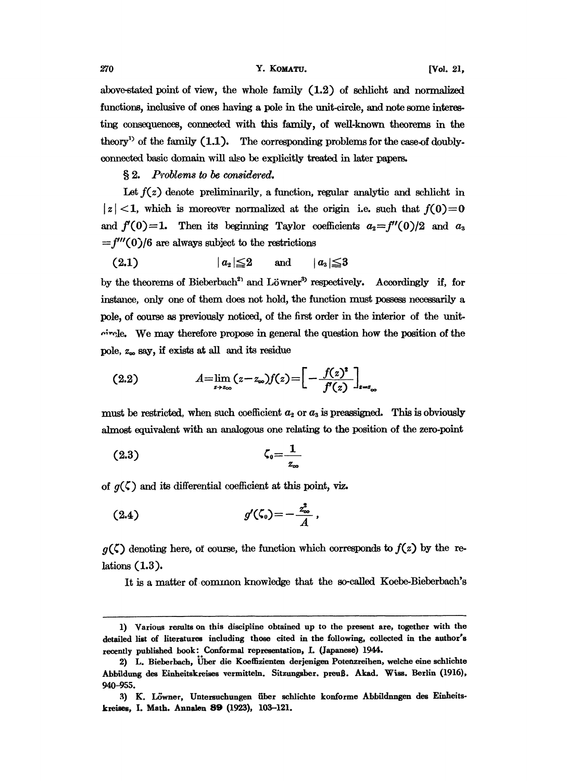above-stated point of view, the whole family (1.2) of schlicht and normalized functions, inclusive of ones having a pole in the unit-circle, and note some interesting consequences, connected with this family, of well-known theorems in the theory<sup>1</sup> of the family  $(1.1)$ . The corresponding problems for the case-of doublyconnected basic domain will alo be explicitly treated in later papers.

 $§ 2.$  Problems to be considered.

Let  $f(z)$  denote preliminarily, a function, regular analytic and schlicht in  $|z|$  < 1, which is moreover normalized at the origin i.e. such that  $f(0)=0$ and  $f'(0)=1$ . Then its beginning Taylor coefficients  $a_2=f''(0)/2$  and  $a_3$  $=f'''(0)/6$  are always subject to the restrictions

$$
(2.1) \t |a_{2}| \leq 2 \t and \t |a_{3}| \leq 3
$$

by the theorems of Bieberbach<sup>2</sup> and Löwner<sup>3</sup> respectively. Accordingly if, for instance, only one of them does not hold, the function must possess necessarily a pole, of course as previously noticed, of the first order in the interior of the unit- $\alpha$ -circle. We may therefore propose in general the question how the position of the pole, z.o say, if exists at all and its residue

(2.2) 
$$
A = \lim_{z \to z_{\infty}} (z - z_{\infty}) f(z) = \left[ - \frac{f(z)^2}{f'(z)} \right]_{z = z_{\infty}}
$$

must be restricted, when such coefficient  $a_2$  or  $a_3$  is preassigned. This is obviously almost equivalent with an analogous one relating to the position of the zero-point

$$
\zeta_0 = \frac{1}{z_\infty}
$$

of  $g(\zeta)$  and its differential coefficient at this point, viz.

(2.4) 
$$
g'(\zeta_0) = -\frac{z_{\infty}^2}{A}
$$

 $g(\zeta)$  denoting here, of course, the function which corresponds to  $f(z)$  by the relations (1.3).

It is a matter of.common knowledge that the so-called Koebe-Bieberbach's

<sup>1)</sup> Various results on this discipline obtained up to the present are, together with the detailed list of literatures including those cited in the following, collected in the author's recently published book: Conformal representation, I. (Japanese) 1944.

<sup>2)</sup> L. Bieberbach, Über die Koeffizienten derjenigen Potenzreihen, welche eine schlichte Abbildung des Einheitskreises vermitteln. Sitzungsber. preuß. Akad. Wiss. Berlin (1916), 940-955.

<sup>3)</sup> K. Löwner, Untersuchungen über schlichte konforme Abbildnngen des Einheitskeises, I. Math. Annalen 89 (1923), 103-121.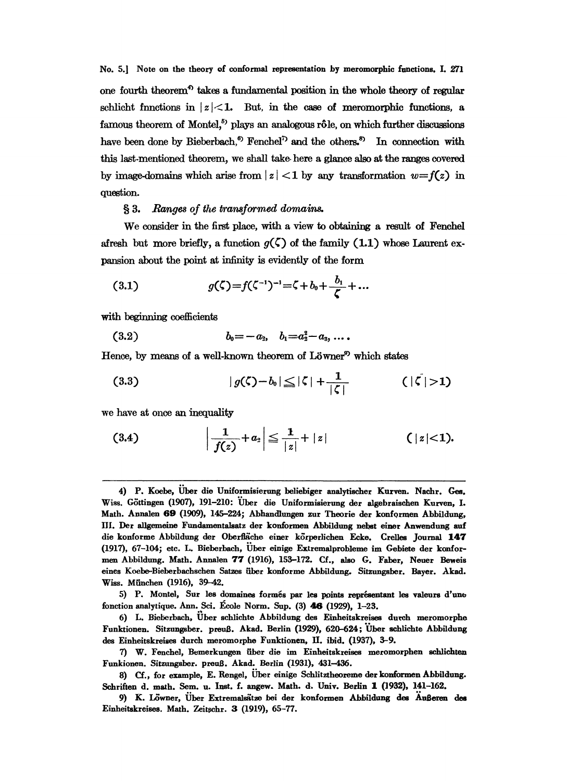No. 5.] Note on the theory of conformal representation by meromorphie functions. I. 271 one fourth theorem<sup>4</sup> takes a fundamental position in the whole theory of regular schlicht functions in  $|z|<1$ . But, in the case of meromorphic functions, a famous theorem of Montel,<sup>5</sup> plays an analogous rôle, on which further discussions have been done by Bieberbach,<sup>6</sup> Fenchel<sup>7</sup> and the others,<sup>8</sup> In connection with this last-mentioned theorem, we shall take. here a glance also at the ranges covered by image-domains which arise from  $|z|$  < 1 by any transformation  $w=f(z)$  in question.

## § 3. Ranges of the transformed domains.

We consider in the first place, with a view to obtaining a result of Fenchel afresh but more briefly, a function  $g(\zeta)$  of the family (1.1) whose Laurent expansion about the point at infinity is evidently of the form

(3.1) 
$$
g(\zeta) = f(\zeta^{-1})^{-1} = \zeta + b_0 + \frac{b_1}{\zeta} + ...
$$

with beginning coefficients

$$
(3.2) \t b_0 = -a_2, \t b_1 = a_2^2 - a_3, \ldots
$$

Hence, by means of a well-known theorem of  $L\ddot{o}$  which states

$$
(3.3) \t |g(\zeta)-b_0| \leq |\zeta| + \frac{1}{|\zeta|} \t (|\zeta|>1)
$$

we have at once an inequality

(3.4) 
$$
\left| \frac{1}{f(z)} + a_2 \right| \le \frac{1}{|z|} + |z|
$$
 (|z|<1).

<sup>4)</sup> P. Koebe, Uber die Uniformisierung beliebiger analytischer Kurven. Nachr. Ges. Wiss. Göttingen (1907), 191-210: Über die Uniformisierung der algebraischen Kurven, I. Math. Annalen 69 (1909), 145-224; Abhandlungen zur Theorie der konformen Abbildung, III. Der allgemeine Fundamentalsatz der konformen Abbildung nebst einer Anwendung auf die konforme Abbildung der Oberfläche einer körperlichen Ecke. Crelles Journal 147 (1917), 67-104; etc. L. Bieberbach, Uber einige Extremalprobleme im Gebiete der konformen Abbildung. Math. Annalen 77 (1916), 155-172. Cf., also G. Faber, Neuer Beweis eines Koebe-Bieberbachschen Satzes fiber konforme Abbildung. Sitzungsber. Bayer. Akad. Wiss. München (1916), 39-42.

<sup>5)</sup> P. Montel, Sur les domaines formés par les points représentant les valeurs d'une fonction analytique. Ann. Sci. École Norm. Sup. (3) 46 (1929), 1-23.

<sup>6)</sup> L. Bieberbach, Uber schlichte Abbildung des Einheitskreises dutch meromorphe Funktionen. Sitzungsber. preuS. Akad. Berlin (1929), 620-624; Uber sehlichte Abbildung des Einheitskreises durch meromorphe Funktionen, H. ibid. (1937), 5-9.

<sup>7)</sup> W. Fenche], Bemerkungen iiber die im Einheitskreises meromorphen seldichten Funkionen. Sitzungsber. preul. Akad. Berlin (1931), 431-436.

<sup>8)</sup> Cf., for example, E. Rengel, Uber einige Schlitztheoreme der konformen Abbildung. Schriften d. math. Sem. u. Inst. f. angew. Math. d. Univ. Berlin 1 (1932), 141-162.

<sup>9)</sup> K. Lwner, Uber Extremalstze bei der konformen Abbildung des AuBeren des Einheitskreises. Math. Zeitschr. 3 (1919), 65-77.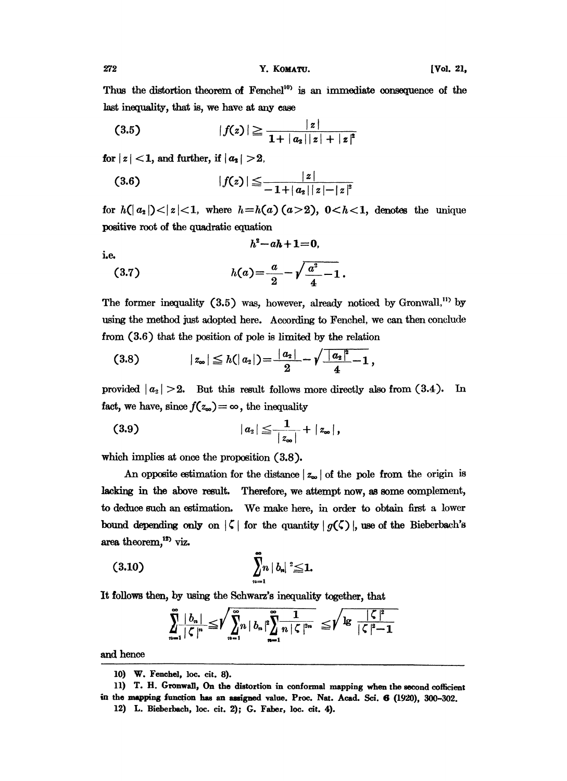Thus the distortion theorem of Fenchel<sup>10</sup> is an immediate consequence of the last inequality, that is, we have at any case

$$
(3.5) \t |f(z)| \geq \frac{|z|}{1+|a_2||z|+|z|^2}
$$

for  $|z|$  < 1, and further, if  $|a_2|$  > 2.

$$
(3.6) \t\t |f(z)| \leq \frac{|z|}{-1+|a_2||z|-|z|^2}
$$

for  $h(|a_2|) < |z| < 1$ , where  $h = h(a)(a > 2)$ ,  $0 < h < 1$ , denotes the unique positive root of the quadratic equation

$$
h^2\!-\!ah\!+\!1\!=\!0
$$

i.e.  
(3.7) 
$$
h(a) = \frac{a}{2} - \sqrt{\frac{a^2}{4} - 1}.
$$

The former inequality (3.5) was, however, already noticed by Gronwall,<sup>11</sup> by using the method just adopted here. According to Fenchel, we can then conclude from  $(3.6)$  that the position of pole is limited by the relation

$$
(3.8) \t\t |z_{\infty}| \leq h(|a_2|) = \frac{|a_2|}{2} - \sqrt{\frac{|a_2|^2}{4} - 1},
$$

provided  $|a_2| > 2$ . But this result follows more directly also from  $(3.4)$ . In fact, we have, since  $f(z_{\infty}) = \infty$ , the inequality

(3.9) 
$$
|a_2| \leq \frac{1}{|z_{\infty}|} + |z_{\infty}|,
$$

which implies at once the proposition (3.8).

An opposite estimation for the distance  $|z_{\infty}|$  of the pole from the origin is lacking in the above result. Therefore, we attempt now, as some complement, to deduce such an estimation. We make here, in order to obtain first a lower bound depending only on  $|\zeta|$  for the quantity  $|q(\zeta)|$ , use of the Bieberbach's area theorem,<sup>12</sup>) viz.

$$
(3.10) \qquad \qquad \sum_{n=1}^{\infty} \!\! n \, | \, b_n | \, {}^2 \! \leq \! 1.
$$

It follows then, by using the Schwarz's inequality together, that

$$
\sum_{n=1}^{\infty} \frac{|b_n|}{|\zeta|^n} \leq \sqrt{\sum_{n=1}^{\infty} n |\overline{b}_n|^2 \sum_{n=1}^{\infty} \frac{1}{n |\zeta|^{2n}}}\n\leq \sqrt{\lg \frac{|\zeta|^2}{|\zeta|^2 - 1}}
$$

and hence

<sup>10)</sup> W. Fenchel, loc. cit. 8).

<sup>11)</sup> T. H. Gronwall, On the distortion in conformal mapping when the second cofficient in the mapping function has an assigned value. Proc. Nat. Acad. Sci. 6 (1920), 300-302.

<sup>12)</sup> L. Bieberbach, loc. cit. 2); G. Faber, loc. cit. 4).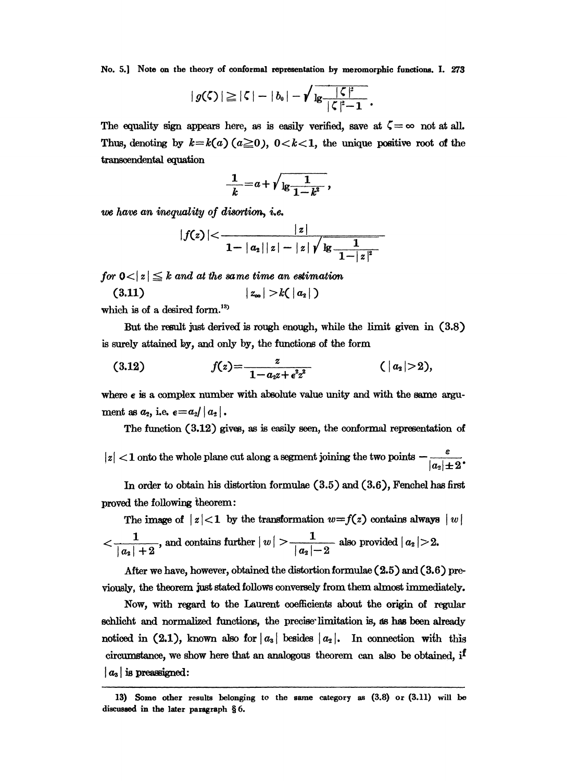No. 5.] Note on the theory of conformal representation by meromorphic functions. I. 273

$$
|g(\zeta)| \geq |\zeta| - |b_0| - \sqrt{\frac{|\zeta|^2}{|\zeta|^2 - 1}}.
$$

The equality sign appears here, as is easily verified, save at  $\zeta = \infty$  not at all. Thus, denoting by  $k = k(a)$   $(a \ge 0)$ ,  $0 < k < 1$ , the unique positive root of the transcendental equation

$$
\frac{1}{k} = a + \sqrt{\frac{1}{\lg \frac{1}{1-k^2}}},
$$

we have an inequality of disortion, i.e.

$$
|f(z)| < \frac{|z|}{1-|a_2||z|-|z| \sqrt{\lg \frac{1}{1-|z|^2}}}
$$

for  $0 < |z| \leq k$  and at the same time an estimation

$$
(3.11) \qquad \qquad |z_{\infty}| > k(|a_2|)
$$

which is of a desired form.<sup>13</sup>

But the result just derived is rough enough, while the limit given in (3.8) is surely attained by, and only by, the functions of the form

(3.12) 
$$
f(z) = \frac{z}{1 - a_2 z + \epsilon^2 z^2} \qquad (|a_2| > 2),
$$

where  $\epsilon$  is a complex number with absolute value unity and with the same argument as  $a_2$ , i.e.  $\epsilon = a_2 / |a_2|$ .

The function  $(3.12)$  gives, as is easily seen, the conformal representation of

 $|z| < 1$  onto the whole plane cut along a segment joining the two points  $-\frac{\varepsilon}{|a_2| \pm 2}$ .

In order to obtain his distortion formulae  $(3.5)$  and  $(3.6)$ , Fenchel has first proved the following theorem:

The image of  $|z|<1$  by the transformation  $w=f(z)$  contains always  $|w|$  $\frac{1}{|a_2|+2}$ , and contains further  $|w| > \frac{1}{|a_2|-2}$  also provided  $|a_2| > 2$ .

After we have, however, obtained the distortion formulae  $(2.5)$  and  $(3.6)$  previously, the theorem just stated follows conversely from them almost immediately.

Now, with regard to the Laurent coefficients about the origin of regular schlicht and normalized functions, the precise limitation is, as has been already noticed in (2.1), known also for  $|a_3|$  besides  $|a_2|$ . In connection with this circumstance, we show here that an analogous theorem can also be obtained, if  $|a_3|$  is preassigned:

<sup>13)</sup> Some other results belonging to the same category as (3.8) or (3.11) will be discussed in the later paragraph §6.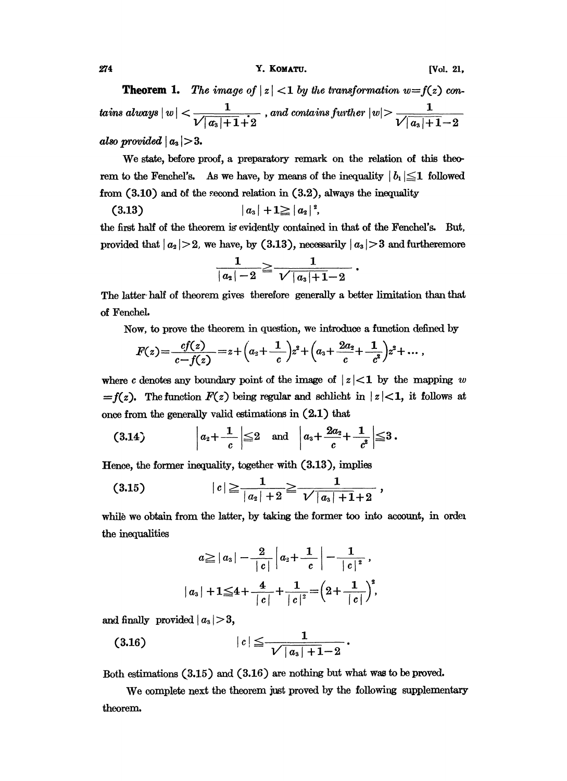[Vol. 21,

**Theorem 1.** The image of  $|z| < 1$  by the transformation  $w = f(z)$  contains always  $\mid w \mid < \frac{1}{\sqrt{|a_3|+1}+2}$  , and contains further  $\mid w \mid > \frac{1}{\sqrt{|a_3|+1}-2}$ also provided  $|a_3| > 3$ .

We state, before proof, a preparatory remark on the relation of this theorem to the Fenchel's. As we have, by means of the inequality  $|b_1| \leq 1$  followed from  $(3.10)$  and of the second relation in  $(3.2)$ , always the inequality

$$
(3.13) \t\t |a_{3}|+1 \geq |a_{2}|^{2}
$$

the first half of the theorem is evidently contained in that of the Fenchel's. But, provided that  $|a_2| > 2$ , we have, by (3.13), necessarily  $|a_3| > 3$  and furtheremore

$$
\frac{1}{\left|\left|a_{\scriptscriptstyle 2}\right| - 2} \!\geq\! \frac{1}{\sqrt{\left|\left|a_{\scriptscriptstyle 3}\right| \!+\! 1 \!-\! 2}}
$$

The latter half of theorem gives therefore generally a better limitation than that of Fenchel.

Now, to prove the theorem in question, we introduce a function defined by

$$
F(z) = \frac{cf(z)}{c - f(z)} = z + \left(a_2 + \frac{1}{c}\right)z^2 + \left(a_3 + \frac{2a_2}{c} + \frac{1}{c^2}\right)z^2 + \dots,
$$

where c denotes any boundary point of the image of  $|z|<1$  by the mapping w =  $f(z)$ . The function  $F(z)$  being regular and schlicht in  $|z|<1$ , it follows at once from the generally valid estimations in  $(2.1)$  that

$$
(3.14) \qquad \qquad \bigg| a_2 + \frac{1}{c} \bigg| \leq 2 \quad \text{and} \quad \bigg| a_3 + \frac{2a_2}{c} + \frac{1}{c^2} \bigg| \leq 3.
$$

Hence, the former inequality, together with (3.13), implies

$$
(3.15) \t\t |c| \geqq \frac{1}{|a_2|+2} \geqq \frac{1}{\sqrt{|a_3|+1}+2},
$$

while we obtain from the latter, by taking the former too into account, in order the inequalities

$$
a \ge |a_3| - \frac{2}{|c|} |a_2 + \frac{1}{|c|} - \frac{1}{|c|^2},
$$
  

$$
|a_3| + 1 \le 4 + \frac{4}{|c|} + \frac{1}{|c|^2} = \left(2 + \frac{1}{|c|}\right)^2,
$$

and finally provided  $|a_3| > 3$ ,

$$
(3.16) \t\t |c| \leq \frac{1}{\sqrt{|a_s|+1}-2}.
$$

Both estimations (3.15) and (3.16) are nothing but what was to be proved.

We complete next the theorem just proved by the following supplementary theorem.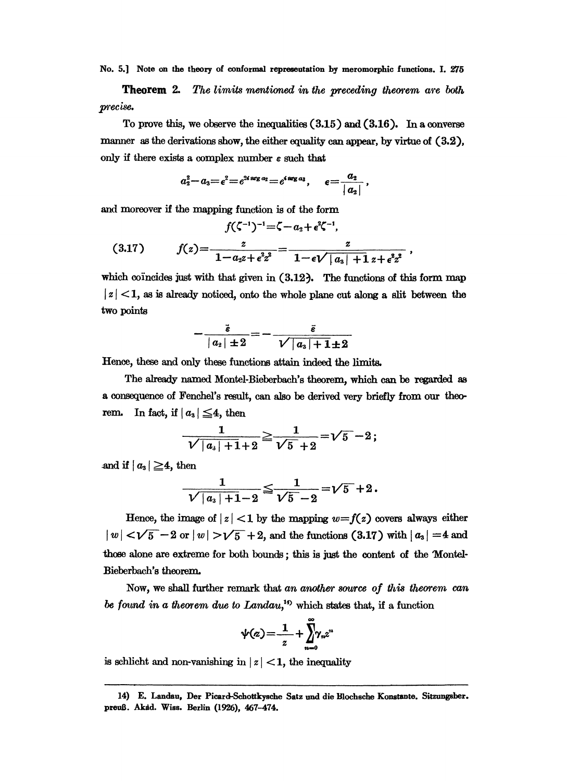No. 5.] Note on the theory of conformal representation by meromorphic functions. I. 275

The limits mentioned in the preceding theorem are both Theorem 2. precise.

To prove this, we observe the inequalities  $(3.15)$  and  $(3.16)$ . In a converse manner as the derivations show, the either equality can appear, by virtue of  $(3.2)$ , only if there exists a complex number  $\varepsilon$  such that

$$
a_2^2-a_3=\epsilon^2=e^{2i\arg a_2}=e^{i\arg a_3},\qquad \epsilon=\frac{a_2}{|a_2|}
$$

and moreover if the mapping function is of the form

$$
f(\zeta^{-1})^{-1} = \zeta - a_2 + \epsilon^2 \zeta^{-1},
$$
  
(3.17) 
$$
f(z) = \frac{z}{1 - a_2 z + \epsilon^2 z^2} = \frac{z}{1 - \epsilon \sqrt{|a_3| + 1} z + \epsilon^2 z^2}
$$

which coincides just with that given in  $(3.12)$ . The functions of this form map  $|z|$  < 1, as is already noticed, onto the whole plane cut along a slit between the two points

$$
-\frac{\tilde{\varepsilon}}{\mid a_{\scriptscriptstyle 2}\mid\pm2} \!=\!-\frac{\tilde{\varepsilon}}{\sqrt{\mid a_{\scriptscriptstyle 3}\mid\mp1}\pm2}
$$

Hence, these and only these functions attain indeed the limits.

The already named Montel-Bieberbach's theorem, which can be regarded as a consequence of Fenchel's result, can also be derived very briefly from our theo-In fact, if  $|a_3| \leq 4$ , then rem.

$$
\frac{1}{\sqrt{|a_s|+1}+2}\geqq\frac{1}{\sqrt{5}+2}=\sqrt{5}-2\,;
$$

and if  $|a_3| \geq 4$ , then

$$
\frac{1}{\sqrt{\mid a_{\rm a}\mid +1-2}}\!\leq\!\frac{1}{\sqrt{5}-2}\!=\!\sqrt{5}\!+\!2\,.
$$

Hence, the image of  $|z|$  < 1 by the mapping  $w = f(z)$  covers always either  $|w| < \sqrt{5} - 2$  or  $|w| > \sqrt{5} + 2$ , and the functions (3.17) with  $|a_3| = 4$  and those alone are extreme for both bounds; this is just the content of the Montel-Bieberbach's theorem.

Now, we shall further remark that an another source of this theorem can be found in a theorem due to  $Landau$ ,<sup>19</sup> which states that, if a function

$$
\psi(z) = \frac{1}{z} + \sum_{n=0}^{\infty} \gamma_n z^n
$$

is schlicht and non-vanishing in  $|z|$  < 1, the inequality

<sup>14)</sup> E. Landau, Der Picard-Schottkysche Satz und die Blochsche Konstante. Sitzungsber. preuß. Akad. Wiss. Berlin (1926), 467-474.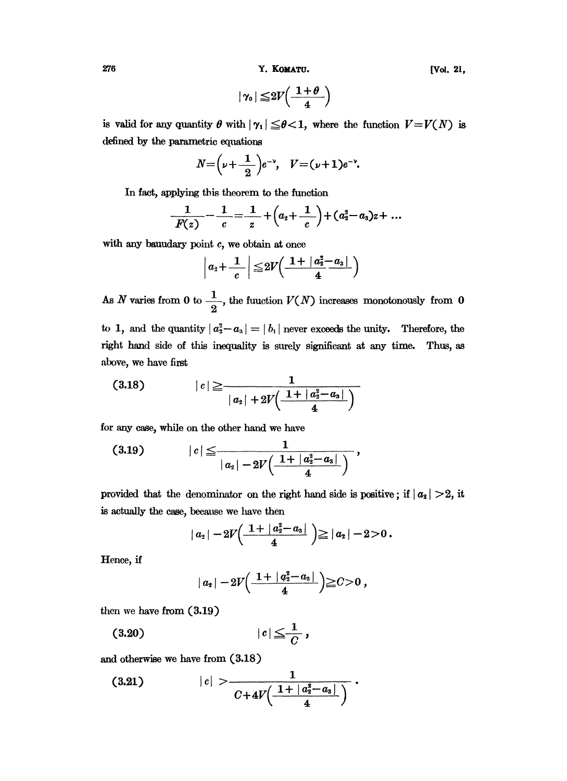/6 Y. KOMATU. [Vol. 21,

$$
|\gamma_{0}| \leq 2V\Big(\frac{1+\theta}{4}\Big)
$$

is valid for any quantity  $\theta$  with  $|\gamma_1| \leq \theta < 1$ , where the function  $V = V(N)$  is defined by the parametric equations

$$
N = \left(\nu + \frac{1}{2}\right)e^{-\nu}, \quad V = (\nu + 1)e^{-\nu}.
$$

In fact, applying tbis theorem to the function

$$
\frac{1}{F(z)} - \frac{1}{c} = \frac{1}{z} + (a_2 + \frac{1}{c}) + (a_2^2 - a_3)z + \dots
$$

with any bauudary point  $c$ , we obtain at once

$$
\left|a_2+\frac{1}{c}\right|\leq 2V\left(\frac{1+\left|a_2^2-a_3\right|}{4}\right)
$$

As N varies from 0 to  $\frac{1}{2}$ , the function  $V(N)$  increases monotonously from 0 to 1, and the quantity  $|a_2^2-a_3|=|b_1|$  never exceeds the unity. Therefore, the

right hand side of this inequality is surely significant at any time. Thus, as above, we have first

$$
(3.18) \t\t |c| \ge \frac{1}{|a_2| + 2V(\frac{1 + |a_2^2 - a_3|}{4})}
$$

for any case, while on the other hand we have

$$
(3.19) \t |c| \leq \frac{1}{|a_2| - 2V(\frac{1 + |a_2^2 - a_3|}{4})},
$$

provided that the denominator on the right hand side is positive; if  $|a_2| > 2$ , it is actually the case, because we have then

$$
|a_2|-2V\left(\frac{1+|a_2^2-a_3|}{4}\right)\geq |a_2|-2>0.
$$

Hence, if

$$
|a_2|-2V\Big(\frac{1+|a_2^2-a_3|}{4}\Big) \geq C>0,
$$

then we have from (3.19)

$$
(3.20) \t\t |c| \leq \frac{1}{C},
$$

and otherwise we have from (3.18)

$$
(3.21) \t\t |c| > \frac{1}{C+4V(\frac{1+|a_2^2-a_3|}{4})}.
$$